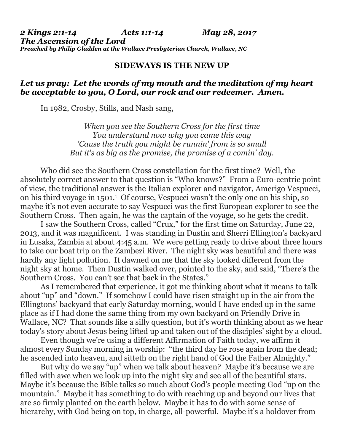*2 Kings 2:1-14 Acts 1:1-14 May 28, 2017 The Ascension of the Lord Preached by Philip Gladden at the Wallace Presbyterian Church, Wallace, NC*

#### **SIDEWAYS IS THE NEW UP**

## *Let us pray: Let the words of my mouth and the meditation of my heart be acceptable to you, O Lord, our rock and our redeemer. Amen.*

In 1982, Crosby, Stills, and Nash sang,

*When you see the Southern Cross for the first time You understand now why you came this way 'Cause the truth you might be runnin' from is so small But it's as big as the promise, the promise of a comin' day.*

Who did see the Southern Cross constellation for the first time? Well, the absolutely correct answer to that question is "Who knows?" From a Euro-centric point of view, the traditional answer is the Italian explorer and navigator, Amerigo Vespucci, on his third voyage in 1501.<sup>1</sup> Of course, Vespucci wasn't the only one on his ship, so maybe it's not even accurate to say Vespucci was the first European explorer to see the Southern Cross. Then again, he was the captain of the voyage, so he gets the credit.

I saw the Southern Cross, called "Crux," for the first time on Saturday, June 22, 2013, and it was magnificent. I was standing in Dustin and Sherri Ellington's backyard in Lusaka, Zambia at about 4:45 a.m. We were getting ready to drive about three hours to take our boat trip on the Zambezi River. The night sky was beautiful and there was hardly any light pollution. It dawned on me that the sky looked different from the night sky at home. Then Dustin walked over, pointed to the sky, and said, "There's the Southern Cross. You can't see that back in the States."

As I remembered that experience, it got me thinking about what it means to talk about "up" and "down." If somehow I could have risen straight up in the air from the Ellingtons' backyard that early Saturday morning, would I have ended up in the same place as if I had done the same thing from my own backyard on Friendly Drive in Wallace, NC? That sounds like a silly question, but it's worth thinking about as we hear today's story about Jesus being lifted up and taken out of the disciples' sight by a cloud.

Even though we're using a different Affirmation of Faith today, we affirm it almost every Sunday morning in worship: "the third day he rose again from the dead; he ascended into heaven, and sitteth on the right hand of God the Father Almighty."

But why do we say "up" when we talk about heaven? Maybe it's because we are filled with awe when we look up into the night sky and see all of the beautiful stars. Maybe it's because the Bible talks so much about God's people meeting God "up on the mountain." Maybe it has something to do with reaching up and beyond our lives that are so firmly planted on the earth below. Maybe it has to do with some sense of hierarchy, with God being on top, in charge, all-powerful. Maybe it's a holdover from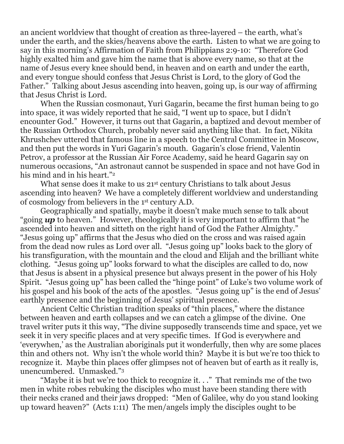an ancient worldview that thought of creation as three-layered – the earth, what's under the earth, and the skies/heavens above the earth. Listen to what we are going to say in this morning's Affirmation of Faith from Philippians 2:9-10: "Therefore God highly exalted him and gave him the name that is above every name, so that at the name of Jesus every knee should bend, in heaven and on earth and under the earth, and every tongue should confess that Jesus Christ is Lord, to the glory of God the Father." Talking about Jesus ascending into heaven, going up, is our way of affirming that Jesus Christ is Lord.

When the Russian cosmonaut, Yuri Gagarin, became the first human being to go into space, it was widely reported that he said, "I went up to space, but I didn't encounter God." However, it turns out that Gagarin, a baptized and devout member of the Russian Orthodox Church, probably never said anything like that. In fact, Nikita Khrushchev uttered that famous line in a speech to the Central Committee in Moscow, and then put the words in Yuri Gagarin's mouth. Gagarin's close friend, Valentin Petrov, a professor at the Russian Air Force Academy, said he heard Gagarin say on numerous occasions, "An astronaut cannot be suspended in space and not have God in his mind and in his heart."<sup>2</sup>

What sense does it make to us 21<sup>st</sup> century Christians to talk about Jesus ascending into heaven? We have a completely different worldview and understanding of cosmology from believers in the 1 st century A.D.

Geographically and spatially, maybe it doesn't make much sense to talk about "going *up* to heaven." However, theologically it is very important to affirm that "he ascended into heaven and sitteth on the right hand of God the Father Almighty." "Jesus going up" affirms that the Jesus who died on the cross and was raised again from the dead now rules as Lord over all. "Jesus going up" looks back to the glory of his transfiguration, with the mountain and the cloud and Elijah and the brilliant white clothing. "Jesus going up" looks forward to what the disciples are called to do, now that Jesus is absent in a physical presence but always present in the power of his Holy Spirit. "Jesus going up" has been called the "hinge point" of Luke's two volume work of his gospel and his book of the acts of the apostles. "Jesus going up" is the end of Jesus' earthly presence and the beginning of Jesus' spiritual presence.

Ancient Celtic Christian tradition speaks of "thin places," where the distance between heaven and earth collapses and we can catch a glimpse of the divine. One travel writer puts it this way, "The divine supposedly transcends time and space, yet we seek it in very specific places and at very specific times. If God is everywhere and 'everywhen,' as the Australian aboriginals put it wonderfully, then why are some places thin and others not. Why isn't the whole world thin? Maybe it is but we're too thick to recognize it. Maybe thin places offer glimpses not of heaven but of earth as it really is, unencumbered. Unmasked."<sup>3</sup>

"Maybe it is but we're too thick to recognize it. . ." That reminds me of the two men in white robes rebuking the disciples who must have been standing there with their necks craned and their jaws dropped: "Men of Galilee, why do you stand looking up toward heaven?" (Acts 1:11) The men/angels imply the disciples ought to be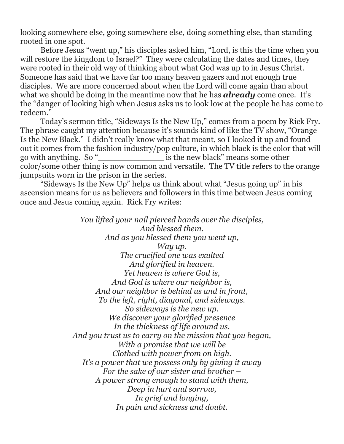looking somewhere else, going somewhere else, doing something else, than standing rooted in one spot.

Before Jesus "went up," his disciples asked him, "Lord, is this the time when you will restore the kingdom to Israel?" They were calculating the dates and times, they were rooted in their old way of thinking about what God was up to in Jesus Christ. Someone has said that we have far too many heaven gazers and not enough true disciples. We are more concerned about when the Lord will come again than about what we should be doing in the meantime now that he has *already* come once. It's the "danger of looking high when Jesus asks us to look low at the people he has come to redeem."

Today's sermon title, "Sideways Is the New Up," comes from a poem by Rick Fry. The phrase caught my attention because it's sounds kind of like the TV show, "Orange Is the New Black." I didn't really know what that meant, so I looked it up and found out it comes from the fashion industry/pop culture, in which black is the color that will go with anything. So "\_\_\_\_\_\_\_\_\_\_\_\_\_ is the new black" means some other color/some other thing is now common and versatile. The TV title refers to the orange jumpsuits worn in the prison in the series.

"Sideways Is the New Up" helps us think about what "Jesus going up" in his ascension means for us as believers and followers in this time between Jesus coming once and Jesus coming again. Rick Fry writes:

> *You lifted your nail pierced hands over the disciples, And blessed them. And as you blessed them you went up, Way up. The crucified one was exulted And glorified in heaven. Yet heaven is where God is, And God is where our neighbor is, And our neighbor is behind us and in front, To the left, right, diagonal, and sideways. So sideways is the new up. We discover your glorified presence In the thickness of life around us. And you trust us to carry on the mission that you began, With a promise that we will be Clothed with power from on high. It's a power that we possess only by giving it away For the sake of our sister and brother – A power strong enough to stand with them, Deep in hurt and sorrow, In grief and longing, In pain and sickness and doubt.*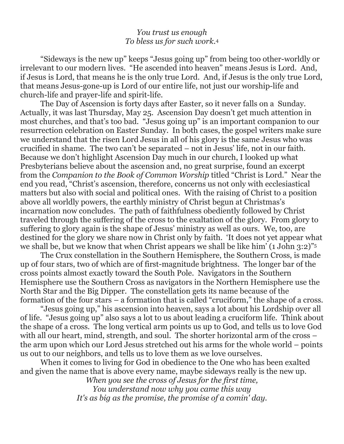## *You trust us enough To bless us for such work.*<sup>4</sup>

"Sideways is the new up" keeps "Jesus going up" from being too other-worldly or irrelevant to our modern lives. "He ascended into heaven" means Jesus is Lord. And, if Jesus is Lord, that means he is the only true Lord. And, if Jesus is the only true Lord, that means Jesus-gone-up is Lord of our entire life, not just our worship-life and church-life and prayer-life and spirit-life.

The Day of Ascension is forty days after Easter, so it never falls on a Sunday. Actually, it was last Thursday, May 25. Ascension Day doesn't get much attention in most churches, and that's too bad. "Jesus going up" is an important companion to our resurrection celebration on Easter Sunday. In both cases, the gospel writers make sure we understand that the risen Lord Jesus in all of his glory is the same Jesus who was crucified in shame. The two can't be separated – not in Jesus' life, not in our faith. Because we don't highlight Ascension Day much in our church, I looked up what Presbyterians believe about the ascension and, no great surprise, found an excerpt from the *Companion to the Book of Common Worship* titled "Christ is Lord." Near the end you read, "Christ's ascension, therefore, concerns us not only with ecclesiastical matters but also with social and political ones. With the raising of Christ to a position above all worldly powers, the earthly ministry of Christ begun at Christmas's incarnation now concludes. The path of faithfulness obediently followed by Christ traveled through the suffering of the cross to the exaltation of the glory. From glory to suffering to glory again is the shape of Jesus' ministry as well as ours. We, too, are destined for the glory we share now in Christ only by faith. 'It does not yet appear what we shall be, but we know that when Christ appears we shall be like him' (1 John 3:2)"<sup>5</sup>

The Crux constellation in the Southern Hemisphere, the Southern Cross, is made up of four stars, two of which are of first-magnitude brightness. The longer bar of the cross points almost exactly toward the South Pole. Navigators in the Southern Hemisphere use the Southern Cross as navigators in the Northern Hemisphere use the North Star and the Big Dipper. The constellation gets its name because of the formation of the four stars – a formation that is called "cruciform," the shape of a cross.

"Jesus going up," his ascension into heaven, says a lot about his Lordship over all of life. "Jesus going up" also says a lot to us about leading a cruciform life. Think about the shape of a cross. The long vertical arm points us up to God, and tells us to love God with all our heart, mind, strength, and soul. The shorter horizontal arm of the cross – the arm upon which our Lord Jesus stretched out his arms for the whole world – points us out to our neighbors, and tells us to love them as we love ourselves.

When it comes to living for God in obedience to the One who has been exalted and given the name that is above every name, maybe sideways really is the new up.

*When you see the cross of Jesus for the first time, You understand now why you came this way It's as big as the promise, the promise of a comin' day.*